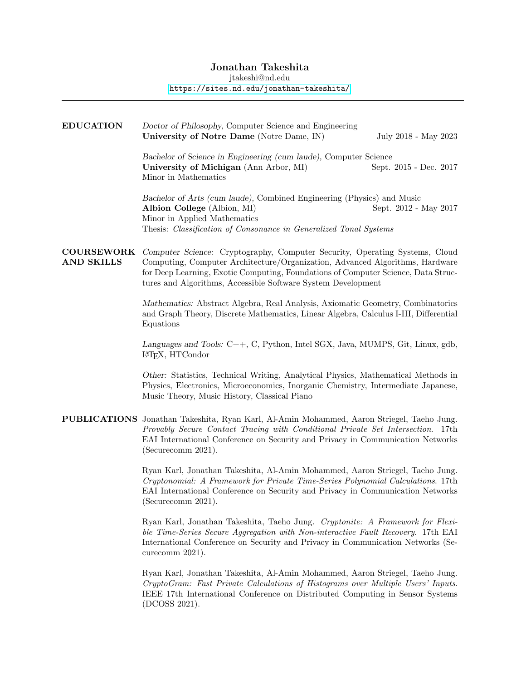# Jonathan Takeshita

jtakeshi@nd.edu

### <https://sites.nd.edu/jonathan-takeshita/>

| <b>EDUCATION</b>                       | Doctor of Philosophy, Computer Science and Engineering<br>University of Notre Dame (Notre Dame, IN)                                                                                                                                                                                                              | July 2018 - May 2023   |
|----------------------------------------|------------------------------------------------------------------------------------------------------------------------------------------------------------------------------------------------------------------------------------------------------------------------------------------------------------------|------------------------|
|                                        | Bachelor of Science in Engineering (cum laude), Computer Science<br>University of Michigan (Ann Arbor, MI)<br>Minor in Mathematics                                                                                                                                                                               | Sept. 2015 - Dec. 2017 |
|                                        | Bachelor of Arts (cum laude), Combined Engineering (Physics) and Music<br>Albion College (Albion, MI)<br>Minor in Applied Mathematics<br>Thesis: Classification of Consonance in Generalized Tonal Systems                                                                                                       | Sept. 2012 - May 2017  |
| <b>COURSEWORK</b><br><b>AND SKILLS</b> | Computer Science: Cryptography, Computer Security, Operating Systems, Cloud<br>Computing, Computer Architecture/Organization, Advanced Algorithms, Hardware<br>for Deep Learning, Exotic Computing, Foundations of Computer Science, Data Struc-<br>tures and Algorithms, Accessible Software System Development |                        |
|                                        | Mathematics: Abstract Algebra, Real Analysis, Axiomatic Geometry, Combinatorics<br>and Graph Theory, Discrete Mathematics, Linear Algebra, Calculus I-III, Differential<br>Equations                                                                                                                             |                        |
|                                        | Languages and Tools: C++, C, Python, Intel SGX, Java, MUMPS, Git, Linux, gdb,<br>IAT <sub>F</sub> X, HTCondor                                                                                                                                                                                                    |                        |
|                                        | Other: Statistics, Technical Writing, Analytical Physics, Mathematical Methods in<br>Physics, Electronics, Microeconomics, Inorganic Chemistry, Intermediate Japanese,<br>Music Theory, Music History, Classical Piano                                                                                           |                        |
|                                        | PUBLICATIONS Jonathan Takeshita, Ryan Karl, Al-Amin Mohammed, Aaron Striegel, Taeho Jung.<br>Provably Secure Contact Tracing with Conditional Private Set Intersection. 17th<br>EAI International Conference on Security and Privacy in Communication Networks<br>(Securecomm 2021).                             |                        |
|                                        | Ryan Karl, Jonathan Takeshita, Al-Amin Mohammed, Aaron Striegel, Taeho Jung.<br>Cryptonomial: A Framework for Private Time-Series Polynomial Calculations. 17th<br>EAI International Conference on Security and Privacy in Communication Networks<br>(Securecomm 2021).                                          |                        |
|                                        | Ryan Karl, Jonathan Takeshita, Taeho Jung. Cryptonite: A Framework for Flexi-<br>ble Time-Series Secure Aggregation with Non-interactive Fault Recovery. 17th EAI<br>International Conference on Security and Privacy in Communication Networks (Se-<br>curecomm 2021).                                          |                        |
|                                        | Ryan Karl, Jonathan Takeshita, Al-Amin Mohammed, Aaron Striegel, Taeho Jung.<br>CryptoGram: Fast Private Calculations of Histograms over Multiple Users' Inputs.<br>IEEE 17th International Conference on Distributed Computing in Sensor Systems<br>(DCOSS 2021).                                               |                        |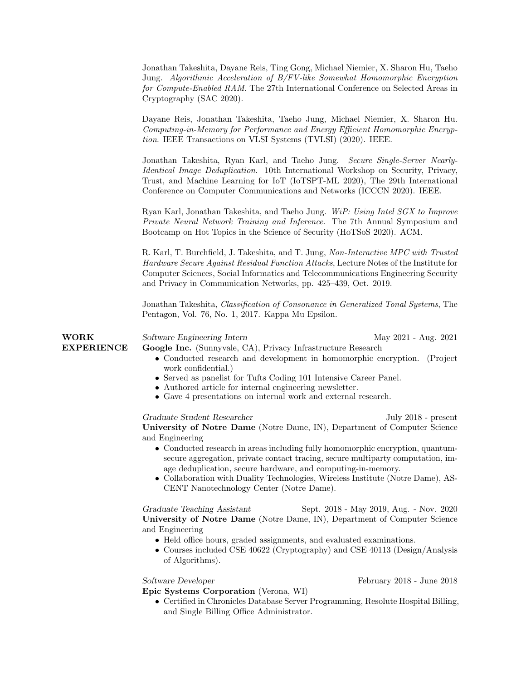|                                  | Jonathan Takeshita, Dayane Reis, Ting Gong, Michael Niemier, X. Sharon Hu, Taeho<br>Jung. Algorithmic Acceleration of B/FV-like Somewhat Homomorphic Encryption<br>for Compute-Enabled RAM. The 27th International Conference on Selected Areas in<br>Cryptography (SAC 2020).                                                                                                                                                                                                                                         |
|----------------------------------|------------------------------------------------------------------------------------------------------------------------------------------------------------------------------------------------------------------------------------------------------------------------------------------------------------------------------------------------------------------------------------------------------------------------------------------------------------------------------------------------------------------------|
|                                  | Dayane Reis, Jonathan Takeshita, Taeho Jung, Michael Niemier, X. Sharon Hu.<br>Computing-in-Memory for Performance and Energy Efficient Homomorphic Encryp-<br>tion. IEEE Transactions on VLSI Systems (TVLSI) (2020). IEEE.                                                                                                                                                                                                                                                                                           |
|                                  | Jonathan Takeshita, Ryan Karl, and Taeho Jung. Secure Single-Server Nearly-<br><i>Identical Image Deduplication.</i> 10th International Workshop on Security, Privacy,<br>Trust, and Machine Learning for IoT (IoTSPT-ML 2020), The 29th International<br>Conference on Computer Communications and Networks (ICCCN 2020). IEEE.                                                                                                                                                                                       |
|                                  | Ryan Karl, Jonathan Takeshita, and Taeho Jung. WiP: Using Intel SGX to Improve<br>Private Neural Network Training and Inference. The 7th Annual Symposium and<br>Bootcamp on Hot Topics in the Science of Security (HoTSoS 2020). ACM.                                                                                                                                                                                                                                                                                 |
|                                  | R. Karl, T. Burchfield, J. Takeshita, and T. Jung, Non-Interactive MPC with Trusted<br>Hardware Secure Against Residual Function Attacks, Lecture Notes of the Institute for<br>Computer Sciences, Social Informatics and Telecommunications Engineering Security<br>and Privacy in Communication Networks, pp. 425–439, Oct. 2019.                                                                                                                                                                                    |
|                                  | Jonathan Takeshita, Classification of Consonance in Generalized Tonal Systems, The<br>Pentagon, Vol. 76, No. 1, 2017. Kappa Mu Epsilon.                                                                                                                                                                                                                                                                                                                                                                                |
| <b>WORK</b><br><b>EXPERIENCE</b> | Software Engineering Intern<br>May 2021 - Aug. 2021<br>Google Inc. (Sunnyvale, CA), Privacy Infrastructure Research<br>• Conducted research and development in homomorphic encryption. (Project<br>work confidential.)<br>• Served as panelist for Tufts Coding 101 Intensive Career Panel.<br>• Authored article for internal engineering newsletter.<br>• Gave 4 presentations on internal work and external research.                                                                                               |
|                                  | Graduate Student Researcher<br>July 2018 - present<br>University of Notre Dame (Notre Dame, IN), Department of Computer Science<br>and Engineering<br>• Conducted research in areas including fully homomorphic encryption, quantum-<br>secure aggregation, private contact tracing, secure multiparty computation, im-<br>age deduplication, secure hardware, and computing-in-memory.<br>• Collaboration with Duality Technologies, Wireless Institute (Notre Dame), AS-<br>CENT Nanotechnology Center (Notre Dame). |
|                                  | Graduate Teaching Assistant<br>Sept. 2018 - May 2019, Aug. - Nov. 2020<br>University of Notre Dame (Notre Dame, IN), Department of Computer Science<br>and Engineering<br>• Held office hours, graded assignments, and evaluated examinations.<br>• Courses included CSE 40622 (Cryptography) and CSE 40113 (Design/Analysis<br>of Algorithms).                                                                                                                                                                        |
|                                  | Software Developer<br>February 2018 - June 2018<br>Epic Systems Corporation (Verona, WI)<br>1.12112                                                                                                                                                                                                                                                                                                                                                                                                                    |

• Certified in Chronicles Database Server Programming, Resolute Hospital Billing, and Single Billing Office Administrator.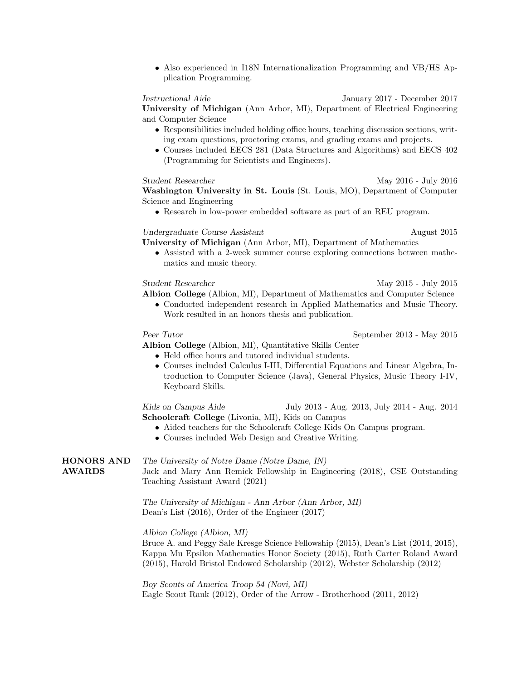• Also experienced in I18N Internationalization Programming and VB/HS Application Programming.

### Instructional Aide January 2017 - December 2017

University of Michigan (Ann Arbor, MI), Department of Electrical Engineering and Computer Science

- Responsibilities included holding office hours, teaching discussion sections, writing exam questions, proctoring exams, and grading exams and projects.
- Courses included EECS 281 (Data Structures and Algorithms) and EECS 402 (Programming for Scientists and Engineers).

Student Researcher May 2016 - July 2016 Washington University in St. Louis (St. Louis, MO), Department of Computer Science and Engineering

• Research in low-power embedded software as part of an REU program.

## Undergraduate Course Assistant August 2015

University of Michigan (Ann Arbor, MI), Department of Mathematics

• Assisted with a 2-week summer course exploring connections between mathematics and music theory.

Student Researcher May 2015 - July 2015

- Albion College (Albion, MI), Department of Mathematics and Computer Science • Conducted independent research in Applied Mathematics and Music Theory.
	- Work resulted in an honors thesis and publication.

Peer Tutor September 2013 - May 2015

### Albion College (Albion, MI), Quantitative Skills Center

- Held office hours and tutored individual students.
- Courses included Calculus I-III, Differential Equations and Linear Algebra, Introduction to Computer Science (Java), General Physics, Music Theory I-IV, Keyboard Skills.

Kids on Campus Aide July 2013 - Aug. 2013, July 2014 - Aug. 2014 Schoolcraft College (Livonia, MI), Kids on Campus

- Aided teachers for the Schoolcraft College Kids On Campus program.
- Courses included Web Design and Creative Writing.

HONORS AND AWARDS The University of Notre Dame (Notre Dame, IN) Jack and Mary Ann Remick Fellowship in Engineering (2018), CSE Outstanding Teaching Assistant Award (2021)

> The University of Michigan - Ann Arbor (Ann Arbor, MI) Dean's List (2016), Order of the Engineer (2017)

### Albion College (Albion, MI)

Bruce A. and Peggy Sale Kresge Science Fellowship (2015), Dean's List (2014, 2015), Kappa Mu Epsilon Mathematics Honor Society (2015), Ruth Carter Roland Award (2015), Harold Bristol Endowed Scholarship (2012), Webster Scholarship (2012)

Boy Scouts of America Troop 54 (Novi, MI) Eagle Scout Rank (2012), Order of the Arrow - Brotherhood (2011, 2012)